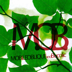# M.O.B. MOBILEOBLIQUEandBucolic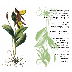In the beginning there is only earth Asleep in a seed I am buried deep in the ground It's the water that triggers everything Draws the essence from the humus of the soil Breaks the seed and sprouts the shoot

> The sap rises Irrigates my veins Pushing to the tips of my petioles And hoists me far from the soil The sap rises Bursting forth the glistening buds And unfurls my leaves

> The Petals open Creased like the cheeks of babies The flowerhead blooms The stamens are ready To be robbed by the wind Or the brush of a bee And scatter their precious pollen

> > Go, Rise sap Hoist me Hoist me towards the sun Make me strong Make me a tree To unfurl my arms To invade the blue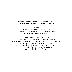The vegetable world reveals an unsuspected diversity. It secretly holds the keys of the future of the Earth.

However…

Devoid of voice, of gesture, the plants, when they are not of plastic, are relegated as a decoration by the stressed animal that we are.

But don't worry, knights of the Earth ! A gang of drummers fanatical of botanic has decided to give voice and movement to their beloved and protected plants. We will become followers of the chlorophyll ! They will make hearts beat, following the rhythm of bionic, our soul will bud and a drum tree will grow in the city, M.O.B., Mobile Oblique and Bucolic…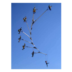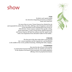# show

#### **TYPE**

Evolutive and vegetal mobile Air attraction integrating prowesses, acrobatics, music and visual arts.

For more than 20 years, Transe Express has climbed the sky and suspended its artists above the cities, offering a mix of imaginary and reality to the astounded crowd watching them nose in the air. With M.O.B., Transe express continues this specific writing. Some metal tubes, a crane, French drums, playful characters, and Transe Express will take the audience into the vegetal world, with a true inspiration from Alexandre Calder for the mobile…

#### **Parade**

The first part of the show takes place on the ground the 7 actors-musicians and the trapezist act and deambulate in the middle of the crowd, joyfully drumming, whistling like birds, singing...

# **Gathering**

they join the take off area of the mobile. A constructivist structure blossoms in the city, hatches out in the air. To the rhythm of its bunch of percussionists, the mobile palpitates, offering a form in perpetual movement.

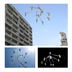



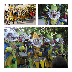



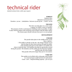# technical rider

(detailed technical rider avaible upon request)

## **FORMAT**

Outdoor show Diurnal or nocturnal show Duration : 50 mn | Ambulation : between 25 and 35 mn | Aerial : 20 mn

#### **the SITE**

The show can take place on a cross-roads, a square, in a field, a court or a garden. The presence of old or contemporary buildings makes it possible, at night, to play with the shades of the musicians and acrobats (with the follow spots). The chosen space should welcome from 500 to 10.000 people.

#### **DEVELOPMENT**

#### **Parade**

 The parade takes place in the middle of the crowd. then 2 options : » The public is already on the site : the string of drums curves and develops its short interventions through the public. » The meeting point given to the public is on another site, where is held the final : our battalion develops its spectacular actions during the parade. The battalion and the public join the final site together, until the take off of the mobile. This parade will not be longer than 500 to 700 meters.

#### **Take off**

The mobile is to be lifted with a telescopic crane located in a reserved space (with barriers) of 12x8 meters. Crane : 100t | Required lifting capacity : 3,8 t at 25 m

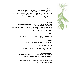

# **MOBILE**

A landing and take-off area reserved (with barriers) is necessary for the duration of the rehearsals until the show, with a minimum space of 12 m x 12 m. 7 persons from the organisation are necessary to assist the take off and the landing of the structure (same people for rehearsals and the show). 6 sandbags of 25kg

# **SOUND**

7 standard miniature microphones (voice type) for the musicians to be placed on their forehead. The technicians assigned to the set up of the sound system will be provided by the organiser and will assist our sound manager during the general rehearsal and the show.

## **Light**

 (compulsory for nocturnal version) 4 follow spots of 2.500 HMI with 4 follow spots operators + 4 flood lights on take off area

# **TEAM**

12 persons : 7 musicians, 1 trapezist, 2 technicians, 1 stage manager, 1 production manager. Arrival : Day –1 evening Departure : Day +1 morning Rooming : 12 persons, 1 bed per person, twin rooms Meals : 12 persons

# **DRESSING ROOMS**

Dressing rooms for 10 people, near the site of representation, persons with keys, and toilets+water on proximity.

# **SECURITY**

Security guards requested for the night prior to the show until departure of the artists.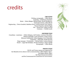# credits

#### **CrEation**

Writing, scenography | Gilles Rhode Comedian | Frédérique Espitalier Music | Rémi Allaigre, Michael Belle, Hocine Bouguerra, Christophe Pardon, Gilles Rhode Engineering | Pierre Garabiol, Matthieu Perot, Louison Bonnel, Eric Libman, Vincent Panchen, Patrick Figgle Set | David Frier, Céline Carraud Costumes | Clotilde Laude

#### **Distribution**

Comedians - musicians | Olivier Balagna, Joël Catalan, Lucienne Chevallier, Félicien Dejonghe, Louis Gaumeton, Audric Fumet, Eléonore Guillemaud, Julien Ragaigne, Ivan Tziboulsky Trapezists | Kati Wolf, Amelie Kourim Stage manager / Technicians | Michael Belle, Louison Bonnel Sound | Agop Djevahirdjian, Nicolas Gendreau, Johan Caballé Scenography | Gilles Rhode

#### **Production**

M.O.B. and Transe express are supported by the Ministère de la culture et de la communication -DRAC Rhône-Alpes-, the Région Rhône-Alpes, the Département de la Drôme and the Communauté de Communes du Val de Drôme.

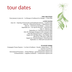

# tour dates

## **the creation**

from january to june 06 | Le Kiosque à Coulisses & Le Hangar | Crest (FR)

# **A FEW DATES**

June 06 | Opening of Greenwich and Docklands Festival | London (UK) June 06 | Festival Les Invites | Villeurbanne (FR)

July 06 | Festival Les Noctibules | Annecy (FR)

September 06 | Les 24h de Neuwied | Neuwied (DE)

July 07 | Palermo (IT)

Septembre 07 | Tancheon et Suwon (KR)

July 08 | Expoagua Zaragoza 2008 | Zaragoza (ES)

July 08| Festival al Career | Viladecans (ES)

August 08| Tall Ships Race | Den Helder (NL)

March 09 | Lille 3000 | Lille (FR)

August 09 | Waterford Spraoi | Waterford (IE)

September 10 | Hull and Cornwall (UK)

# **TO KNOW MORE**

Compagnie Transe Express | La Gare à Coulisses | Ecosite | 26400 Eurre | FR +33 (0)4 75 40 63 04 www.transe-express.com International Promotion | Nicole Dittmar| spectacles@transe-express.com

Communication | Angelina Lombardo | com@transe-express.com